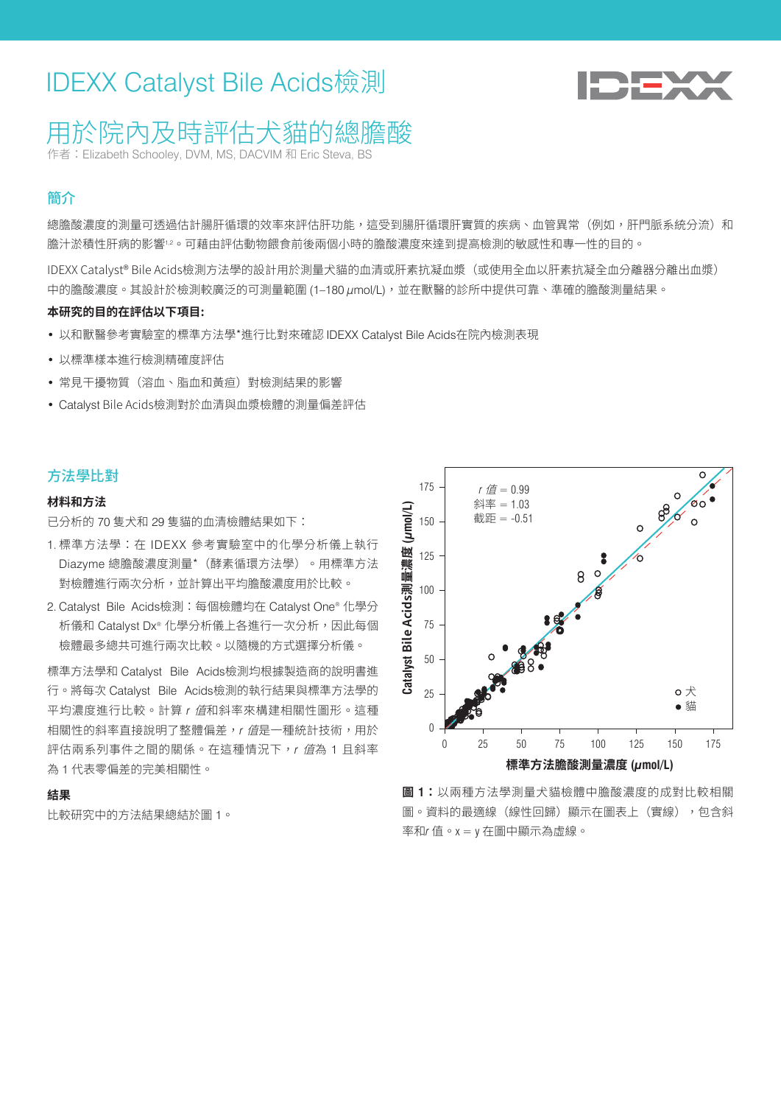# IDEXX Catalyst Bile Acids檢測



## 用於院內及時評估犬貓的總膽酸

作者:Elizabeth Schooley, DVM, MS, DACVIM 和 Eric Steva, BS

## 簡介

總膽酸濃度的測量可透過估計腸肝循環的效率來評估肝功能,狺受到陽肝循環肝實質的疾病、血管異常(例如,肝門脈系統分流)和 膽汁淤積性肝病的影響12。可藉由評估動物餵食前後兩個小時的膽酸濃度來達到提高檢測的敏感性和專一性的目的。

IDEXX Catalyst® Bile Acids檢測方法學的設計用於測量犬貓的血清或肝素抗凝血漿(或使用全血以肝素抗凝全血分離器分離出血漿) 中的膽酸濃度。其設計於檢測較廣泛的可測量範圍 (1-180 μmol/L),並在獸醫的診所中提供可靠、準確的膽酸測量結果。

#### **本研究的目的在評估以下項目:**

- 以和獸醫參考實驗室的標準方法學\*進行比對來確認 IDEXX Catalyst Bile Acids在院內檢測表現
- 以標準樣本進行檢測精確度評估
- 常見干擾物質(溶血、脂血和黃疸)對檢測結果的影響
- Catalyst Bile Acids檢測對於血清與血漿檢體的測量偏差評估

#### 方法學比對

#### **材料和方法**

已分析的 70 隻犬和 29 隻貓的血清檢體結果如下:

- 1. 標準方法學:在 IDEXX 參考實驗室中的化學分析儀上執行 Diazyme 總膽酸濃度測量\*(酵素循環方法學)。用標準方法 對檢體進行兩次分析,並計算出平均膽酸濃度用於比較。
- 2. Catalyst Bile Acids檢測:每個檢體均在 Catalyst One® 化學分 析儀和 Catalyst Dx® 化學分析儀上各進行一次分析,因此每個 檢體最多總共可進行兩次比較。以隨機的方式選擇分析儀。

標準方法學和 Catalyst Bile Acids檢測均根據製造商的說明書進 行。將每次 Catalyst Bile Acids檢測的執行結果與標準方法學的 平均濃度進行比較。計算 *r* 值和斜率來構建相關性圖形。這種 相關性的斜率直接說明了整體偏差,r 值是一種統計技術,用於 評估兩系列事件之間的關係。在這種情況下, r *值*為 1 且斜率 為 1 代表零偏差的完美相關性。

#### **結果**

比較研究中的方法結果總結於圖 1。



**圖 1:**以兩種方法學測量犬貓檢體中膽酸濃度的成對比較相關 圖。資料的最適線(線性回歸)顯示在圖表上(實線),包含斜 率和*r* 值。x = y 在圖中顯示為虛線。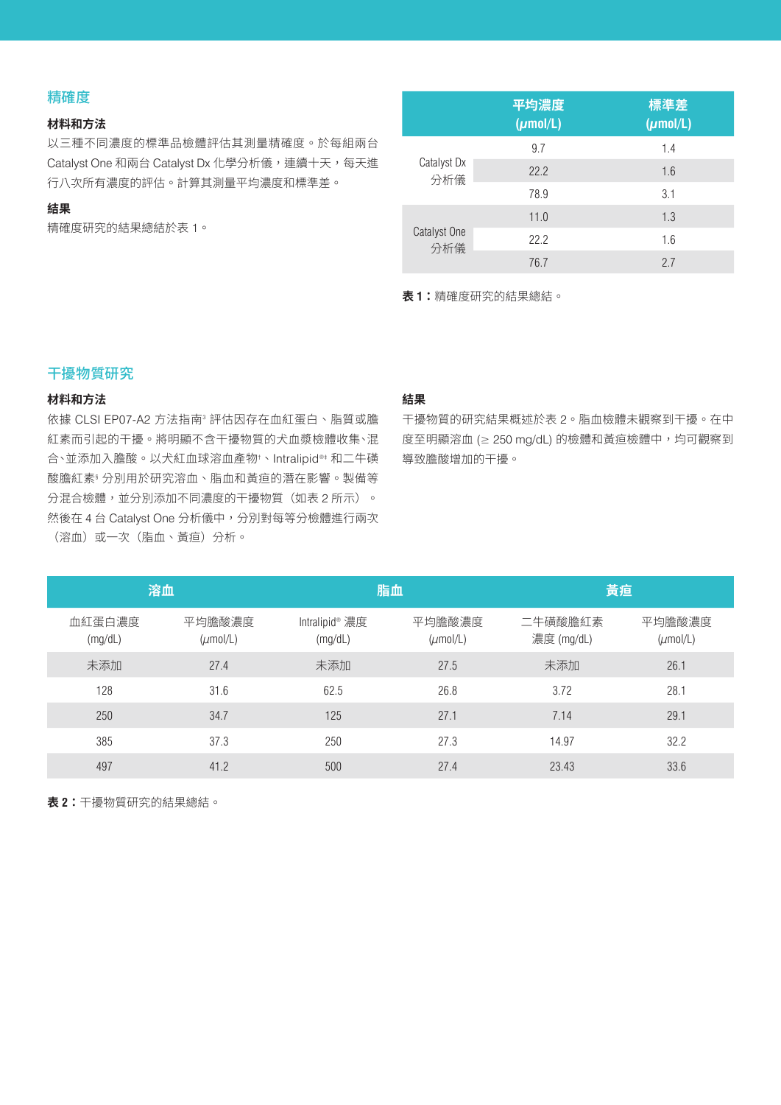## 精確度

#### **材料和方法**

以三種不同濃度的標準品檢體評估其測量精確度。於每組兩台 Catalyst One 和兩台 Catalyst Dx 化學分析儀,連續十天,每天進 行八次所有濃度的評估。計算其測量平均濃度和標準差。

### **結果**

精確度研究的結果總結於表 1。

|                     | 平均濃度<br>$(\mu \text{mol/L})$ | 標準差<br>$(\mu \text{mol/L})$ |
|---------------------|------------------------------|-----------------------------|
|                     | 9.7                          | 1.4                         |
| Catalyst Dx<br>分析儀  | 22.2                         | 1.6                         |
|                     | 78.9                         | 3.1                         |
|                     | 11.0                         | 1.3                         |
| Catalyst One<br>分析儀 | 22.2                         | 1.6                         |
|                     | 76.7                         | 2.7                         |

**表 1:**精確度研究的結果總結。

## 干擾物質研究

### **材料和方法**

依據 CLSI EP07-A2 方法指南<sup>3</sup> 評估因存在血紅蛋白、脂質或膽 紅素而引起的干擾。將明顯不含干擾物質的犬血漿檢體收集、混 合、並添加入膽酸。以犬紅血球溶血產物† 、Intralipid®‡ 和二牛磺 酸膽紅素§ 分別用於研究溶血、脂血和黃疸的潛在影響。製備等 分混合檢體,並分別添加不同濃度的干擾物質(如表 2 所示)。 然後在 4 台 Catalyst One 分析儀中, 分別對每等分檢體進行兩次 (溶血)或一次(脂血、黃疸)分析。

### **結果**

干擾物質的研究結果概述於表 2。脂血檢體未觀察到干擾。在中 度至明顯溶血 (≥ 250 mg/dL) 的檢體和黃疸檢體中,均可觀察到 導致膽酸增加的干擾。

| 溶血                |                                | 脂血                        |                                | 黃疸                    |                                |
|-------------------|--------------------------------|---------------------------|--------------------------------|-----------------------|--------------------------------|
| 血紅蛋白濃度<br>(mg/dL) | 平均膽酸濃度<br>$(\mu \text{mol/L})$ | Intralipid® 濃度<br>(mg/dL) | 平均膽酸濃度<br>$(\mu \text{mol/L})$ | 二牛磺酸膽紅素<br>濃度 (mg/dL) | 平均膽酸濃度<br>$(\mu \text{mol/L})$ |
| 未添加               | 27.4                           | 未添加                       | 27.5                           | 未添加                   | 26.1                           |
| 128               | 31.6                           | 62.5                      | 26.8                           | 3.72                  | 28.1                           |
| 250               | 34.7                           | 125                       | 27.1                           | 7.14                  | 29.1                           |
| 385               | 37.3                           | 250                       | 27.3                           | 14.97                 | 32.2                           |
| 497               | 41.2                           | 500                       | 27.4                           | 23.43                 | 33.6                           |

**表 2:**干擾物質研究的結果總結。